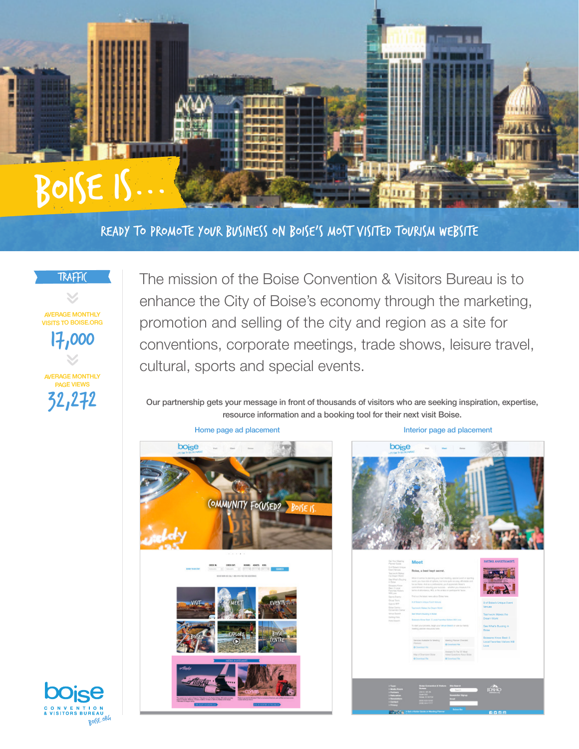

ready to Promote your business on Boise's most visited tourism website



AVERAGE MONTHLY VISITS TO BOISE.ORG 17,000

**F MONTHLY** PAGE VIEWS 32,272

The mission of the Boise Convention & Visitors Bureau is to enhance the City of Boise's economy through the marketing, promotion and selling of the city and region as a site for conventions, corporate meetings, trade shows, leisure travel, cultural, sports and special events.

Our partnership gets your message in front of thousands of visitors who are seeking inspiration, expertise, resource information and a booking tool for their next visit Boise.

Home page ad placement **Interior page ad placement Interior page ad placement**